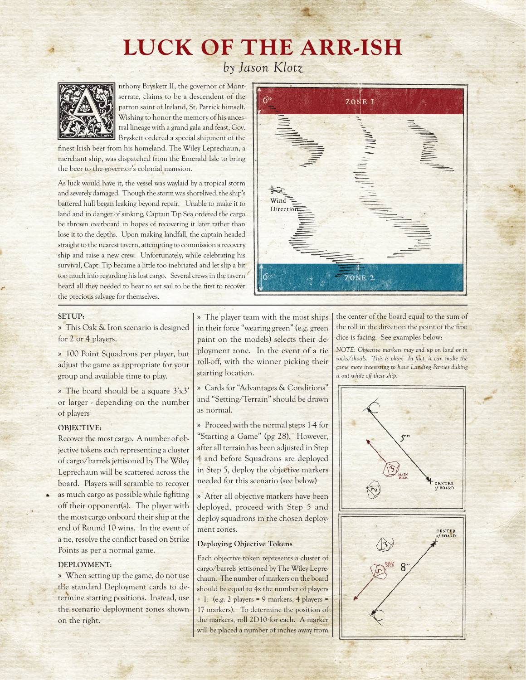# LUCK OF THE ARR-ISH

*by Jason Klotz*



By The patron sint of Ireland, St. Patrick himself.<br>
And St. Patrick himself.<br>
The patron saint of Ireland, St. Patrick himself.<br>
Wishing to honor the memory of his ances-<br>
The patron sint of Ireland, St. Patrick himself.<br> serrate, claims to be a descendent of the patron saint of Ireland, St. Patrick himself. Wishing to honor the memory of his ancestral lineage with a grand gala and feast, Gov. Bryskett ordered a special shipment of the

finest Irish beer from his homeland. The Wiley Leprechaun, a merchant ship, was dispatched from the Emerald Isle to bring the beer to the governor's colonial mansion.

As luck would have it, the vessel was waylaid by a tropical storm and severely damaged. Though the storm was short-lived, the ship's battered hull began leaking beyond repair. Unable to make it to land and in danger of sinking, Captain Tip Sea ordered the cargo be thrown overboard in hopes of recovering it later rather than lose it to the depths. Upon making landfall, the captain headed straight to the nearest tavern, attempting to commission a recovery ship and raise a new crew. Unfortunately, while celebrating his survival, Capt. Tip became a little too inebriated and let slip a bit too much info regarding his lost cargo. Several crews in the tavern heard all they needed to hear to set sail to be the first to recover the precious salvage for themselves.

|                                                                                                                                                                                                                                                                                                                                                                                                                                                                                          | ZONE I  |  |
|------------------------------------------------------------------------------------------------------------------------------------------------------------------------------------------------------------------------------------------------------------------------------------------------------------------------------------------------------------------------------------------------------------------------------------------------------------------------------------------|---------|--|
|                                                                                                                                                                                                                                                                                                                                                                                                                                                                                          | a Allan |  |
| $\begin{array}{c}\n\hline\n\end{array}\n\qquad\n\begin{array}{c}\n\hline\n\end{array}\n\qquad\n\begin{array}{c}\n\hline\n\end{array}\n\qquad\n\begin{array}{c}\n\hline\n\end{array}\n\qquad\n\begin{array}{c}\n\hline\n\end{array}\n\qquad\n\begin{array}{c}\n\hline\n\end{array}\n\qquad\n\begin{array}{c}\n\hline\n\end{array}\n\qquad\n\begin{array}{c}\n\hline\n\end{array}\n\qquad\n\begin{array}{c}\n\hline\n\end{array}\n\qquad\n\begin{array}{c}\n\hline\n\end{array}\n\qquad\n$ |         |  |
| ŢΣ,<br>좛                                                                                                                                                                                                                                                                                                                                                                                                                                                                                 | ZONE 2  |  |

### SETUP:

» This Oak & Iron scenario is designed for 2 or 4 players.

» 100 Point Squadrons per player, but adjust the game as appropriate for your group and available time to play.

» The board should be a square 3'x3' or larger - depending on the number of players

### OBJECTIVE:

Recover the most cargo. A number of objective tokens each representing a cluster of cargo/barrels jettisoned by The Wiley Leprechaun will be scattered across the board. Players will scramble to recover as much cargo as possible while fighting off their opponent(s). The player with the most cargo onboard their ship at the end of Round 10 wins. In the event of a tie, resolve the conflict based on Strike Points as per a normal game.

### DEPLOYMENT:

» When setting up the game, do not use the standard Deployment cards to determine starting positions. Instead, use the scenario deployment zones shown on the right.

» The player team with the most ships in their force "wearing green" (e.g. green paint on the models) selects their deployment zone. In the event of a tie roll-off, with the winner picking their starting location.

» Cards for "Advantages & Conditions" and "Setting/Terrain" should be drawn as normal.

» Proceed with the normal steps 1-4 for "Starting a Game" (pg 28). However, after all terrain has been adjusted in Step 4 and before Squadrons are deployed in Step 5, deploy the objective markers needed for this scenario (see below)

» After all objective markers have been deployed, proceed with Step 5 and deploy squadrons in the chosen deployment zones.

### **Deploying Objective Tokens**

Each objective token represents a cluster of cargo/barrels jettisoned by The Wiley Leprechaun. The number of markers on the board should be equal to 4x the number of players + 1. (e.g. 2 players = 9 markers, 4 players = 17 markers). To determine the position of the markers, roll 2D10 for each. A marker will be placed a number of inches away from

the center of the board equal to the sum of the roll in the direction the point of the first dice is facing. See examples below:

*NOTE: Objective markers may end up on land or in rocks/shoals. This is okay! In fact, it can make the game more interesting to have Landing Parties duking it out while off their ship.*